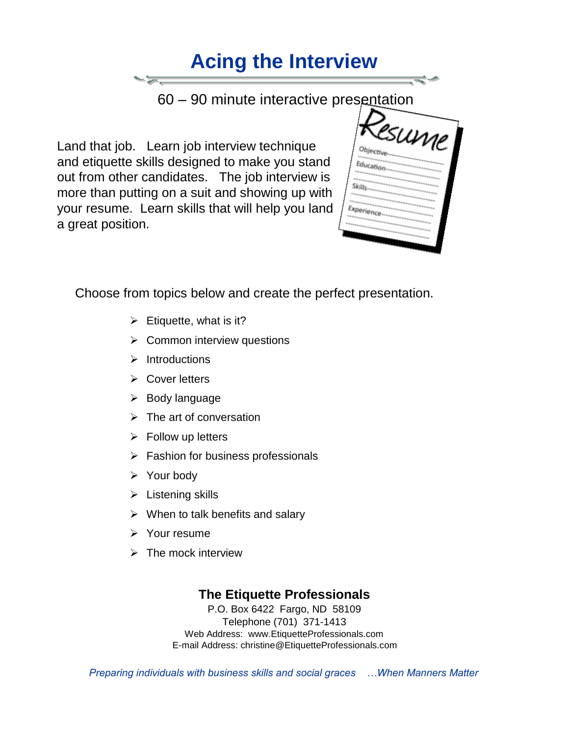# **Acing the Interview**

60 – 90 minute interactive presentation

 Land that job. Learn job interview technique and etiquette skills designed to make you stand out from other candidates. The job interview is more than putting on a suit and showing up with your resume. Learn skills that will help you land a great position.

|             | . |                                                  |  |
|-------------|---|--------------------------------------------------|--|
| Objective   |   | sume                                             |  |
| Education-  |   |                                                  |  |
| Skills-     |   | <b><i>SERENSER</i></b><br><b><i>Kindmann</i></b> |  |
| Experience- |   |                                                  |  |
|             |   | <b><i>CARACTERS</i></b>                          |  |

Choose from topics below and create the perfect presentation.

- $\triangleright$  Etiquette, what is it?
- $\triangleright$  Common interview questions
- $\triangleright$  Introductions
- $\triangleright$  Cover letters
- $\triangleright$  Body language
- $\triangleright$  The art of conversation
- $\triangleright$  Follow up letters
- $\triangleright$  Fashion for business professionals
- $\triangleright$  Your body
- $\triangleright$  Listening skills
- $\triangleright$  When to talk benefits and salary
- $\triangleright$  Your resume
- $\triangleright$  The mock interview

### **The Etiquette Professionals**

P.O. Box 6422 Fargo, ND 58109 Telephone (701) 371-1413 Web Address: [www.EtiquetteProfessionals.com](http://www.etiquetteprofessionals.com/)  E-mail Address: christine@EtiquetteProfessionals.com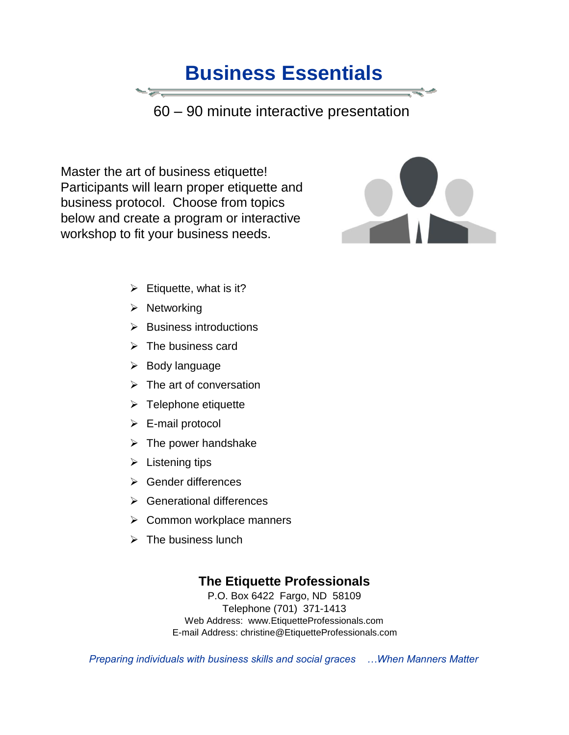### **Business Essentials**

60 – 90 minute interactive presentation

 Master the art of business etiquette! Participants will learn proper etiquette and business protocol. Choose from topics below and create a program or interactive workshop to fit your business needs.



- $\triangleright$  Etiquette, what is it?
- $\triangleright$  Networking
- $\triangleright$  Business introductions
- $\triangleright$  The business card
- $\triangleright$  Body language
- $\triangleright$  The art of conversation
- $\triangleright$  Telephone etiquette
- $\triangleright$  E-mail protocol
- $\triangleright$  The power handshake
- $\triangleright$  Listening tips
- **►** Gender differences
- **►** Generational differences
- **►** Common workplace manners
- $\triangleright$  The business lunch

#### **The Etiquette Professionals**

P.O. Box 6422 Fargo, ND 58109 Telephone (701) 371-1413 Web Address: [www.EtiquetteProfessionals.com](http://www.etiquetteprofessionals.com/)  E-mail Address: christine@EtiquetteProfessionals.com

*Preparing individuals with business skills and social graces …When Manners Matter*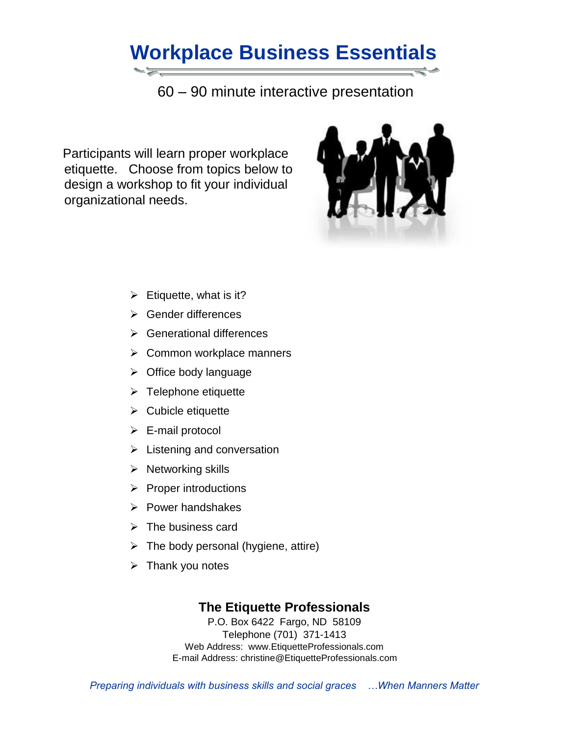## **Workplace Business Essentials**

60 – 90 minute interactive presentation

 Participants will learn proper workplace etiquette. Choose from topics below to design a workshop to fit your individual organizational needs.



- $\triangleright$  Etiquette, what is it?
- Gender differences
- Generational differences
- $\triangleright$  Common workplace manners
- $\triangleright$  Office body language
- $\triangleright$  Telephone etiquette
- $\triangleright$  Cubicle etiquette
- $\triangleright$  E-mail protocol
- $\triangleright$  Listening and conversation
- $\triangleright$  Networking skills
- $\triangleright$  Proper introductions
- $\triangleright$  Power handshakes
- $\triangleright$  The business card
- $\triangleright$  The body personal (hygiene, attire)
- $\triangleright$  Thank you notes

#### **The Etiquette Professionals**

P.O. Box 6422 Fargo, ND 58109 Telephone (701) 371-1413 Web Address: [www.EtiquetteProfessionals.com](http://www.etiquetteprofessionals.com/)  E-mail Address: christine@EtiquetteProfessionals.com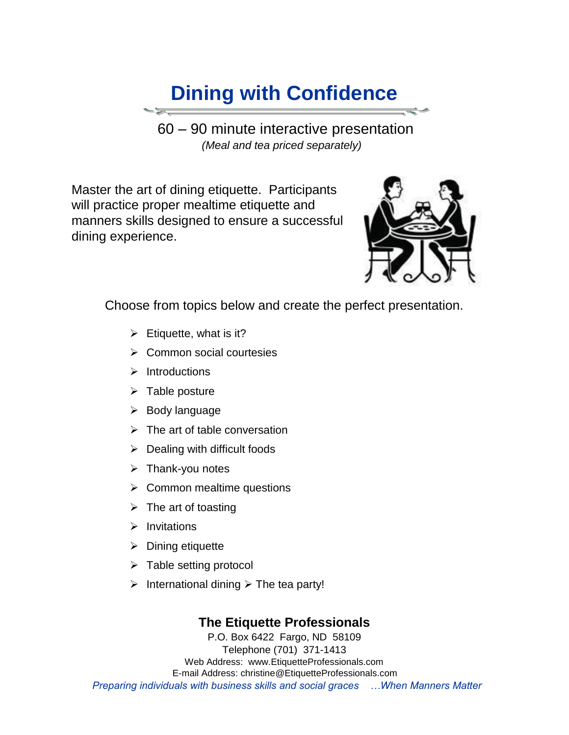### **Dining with Confidence**

 60 – 90 minute interactive presentation  *(Meal and tea priced separately)* 

 Master the art of dining etiquette. Participants will practice proper mealtime etiquette and manners skills designed to ensure a successful dining experience.



Choose from topics below and create the perfect presentation.

- $\triangleright$  Etiquette, what is it?
- $\triangleright$  Common social courtesies
- $\triangleright$  Introductions
- $\triangleright$  Table posture
- $\triangleright$  Body language
- $\triangleright$  The art of table conversation
- $\triangleright$  Dealing with difficult foods
- $\triangleright$  Thank-you notes
- $\triangleright$  Common mealtime questions
- $\triangleright$  The art of toasting
- $\triangleright$  Invitations
- $\triangleright$  Dining etiquette
- $\triangleright$  Table setting protocol
- $\triangleright$  International dining  $\triangleright$  The tea party!

### **The Etiquette Professionals**

P.O. Box 6422 Fargo, ND 58109 Telephone (701) 371-1413 Web Address: [www.EtiquetteProfessionals.com](http://www.etiquetteprofessionals.com/)  E-mail Address: christine@EtiquetteProfessionals.com *Preparing individuals with business skills and social graces …When Manners Matter*